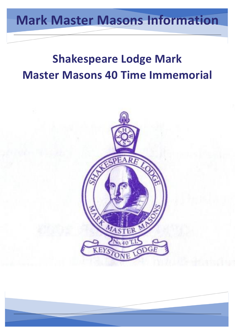# **Mark Master Masons Information**

# **Shakespeare Lodge Mark Master Masons 40 Time Immemorial**

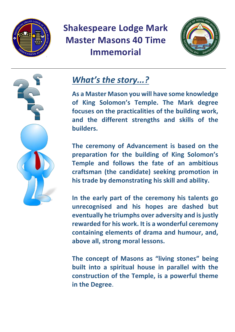



### *What's the story...?*

**As a Master Mason you will have some knowledge of King Solomon's Temple. The Mark degree focuses on the practicalities of the building work, and the different strengths and skills of the builders.** 

**The ceremony of Advancement is based on the preparation for the building of King Solomon's Temple and follows the fate of an ambitious craftsman (the candidate) seeking promotion in his trade by demonstrating his skill and ability.** 

**In the early part of the ceremony his talents go unrecognised and his hopes are dashed but eventually he triumphs over adversity and is justly rewarded for his work. It is a wonderful ceremony containing elements of drama and humour, and, above all, strong moral lessons.** 

**The concept of Masons as "living stones" being built into a spiritual house in parallel with the construction of the Temple, is a powerful theme in the Degree**.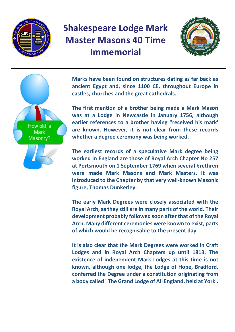





**Marks have been found on structures dating as far back as ancient Egypt and, since 1100 CE, throughout Europe in castles, churches and the great cathedrals.** 

**The first mention of a brother being made a Mark Mason was at a Lodge in Newcastle in January 1756, although earlier references to a brother having "received his mark' are known. However, it is not clear from these records whether a degree ceremony was being worked.**

**The earliest records of a speculative Mark degree being worked in England are those of Royal Arch Chapter No 257 at Portsmouth on 1 September 1769 when several brethren were made Mark Masons and Mark Masters. It was introduced to the Chapter by that very well-known Masonic figure, Thomas Dunkerley.** 

**The early Mark Degrees were closely associated with the Royal Arch, as they still are in many parts of the world. Their development probably followed soon after that of the Royal Arch. Many different ceremonies were known to exist, parts of which would be recognisable to the present day.** 

**It is also clear that the Mark Degrees were worked in Craft Lodges and in Royal Arch Chapters up until 1813. The existence of independent Mark Lodges at this time is not known, although one lodge, the Lodge of Hope, Bradford, conferred the Degree under a constitution originating from a body called "The Grand Lodge of All England, held at York'.**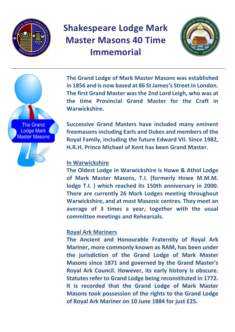





**The Grand Lodge of Mark Master Masons was established in 1856 and is now based at 86 St James's Street in London. The first Grand Master was the 2nd Lord Leigh, who was at the time Provincial Grand Master for the Craft in Warwickshire.**

**Successive Grand Masters have included many eminent freemasons including Earls and Dukes and members of the Royal Family, including the future Edward VII. Since 1982, H.R.H. Prince Michael of Kent has been Grand Master.**

#### **In Warwickshire**

**The Oldest Lodge in Warwickshire is Howe & Athol Lodge of Mark Master Masons, T.I. (formerly Howe M.M.M. lodge T.I. ) which reached its 150th anniversary in 2000. There are currently 26 Mark Lodges meeting throughout Warwickshire, and at most Masonic centres. They meet an average of 3 times a year, together with the usual committee meetings and Rehearsals.**

#### **Royal Ark Mariners**

**The Ancient and Honourable Fraternity of Royal Ark Mariner, more commonly known as RAM, has been under the jurisdiction of the Grand Lodge of Mark Master Masons since 1871 and governed by the Grand Master's Royal Ark Council. However, its early history is obscure. Statutes refer to Grand Lodge being reconstituted in 1772. It is recorded that the Grand Lodge of Mark Master Masons took possession of the rights to the Grand Lodge of Royal Ark Mariner on 10 June 1884 for just £25.**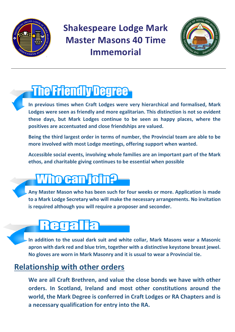



# **The Friendly Degree-**

- **In previous times when Craft Lodges were very hierarchical and formalised, Mark Lodges were seen as friendly and more egalitarian. This distinction is not so evident these days, but Mark Lodges continue to be seen as happy places, where the positives are accentuated and close friendships are valued.**
- **Being the third largest order in terms of number, the Provincial team are able to be more involved with most Lodge meetings, offering support when wanted.**
- **Accessible social events, involving whole families are an important part of the Mark ethos, and charitable giving continues to be essential when possible**

# **Who can join?**

**Any Master Mason who has been such for four weeks or more. Application is made to a Mark Lodge Secretary who will make the necessary arrangements. No invitation is required although you will require a proposer and seconder.**

# Regalia

**In addition to the usual dark suit and white collar, Mark Masons wear a Masonic apron with dark red and blue trim, together with a distinctive keystone breast jewel. No gloves are worn in Mark Masonry and it is usual to wear a Provincial tie.** 

#### **Relationship with other orders**

**We are all Craft Brethren, and value the close bonds we have with other orders. In Scotland, Ireland and most other constitutions around the world, the Mark Degree is conferred in Craft Lodges or RA Chapters and is a necessary qualification for entry into the RA.**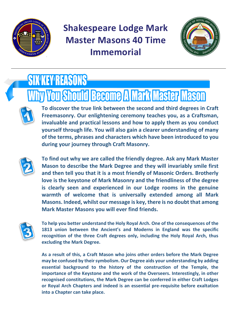



# **SIX KEY REASONS**

# **y You Should Become A Mark Master Mason**

**To discover the true link between the second and third degrees in Craft Freemasonry. Our enlightening ceremony teaches you, as a Craftsman, invaluable and practical lessons and how to apply them as you conduct yourself through life. You will also gain a clearer understanding of many of the terms, phrases and characters which have been introduced to you during your journey through Craft Masonry.**



**To find out why we are called the friendly degree. Ask any Mark Master Mason to describe the Mark Degree and they will invariably smile first and then tell you that it is a most friendly of Masonic Orders. Brotherly love is the keystone of Mark Masonry and the friendliness of the degree is clearly seen and experienced in our Lodge rooms in the genuine warmth of welcome that is universally extended among all Mark Masons. Indeed, whilst our message is key, there is no doubt that among Mark Master Masons you will ever find friends.**



**To help you better understand the Holy Royal Arch. One of the consequences of the 1813 union between the Ancient's and Moderns in England was the specific recognition of the three Craft degrees only, including the Holy Royal Arch, thus excluding the Mark Degree.**

**As a result of this, a Craft Mason who joins other orders before the Mark Degree may be confused by their symbolism. Our Degree aids your understanding by adding essential background to the history of the construction of the Temple, the importance of the Keystone and the work of the Overseers. Interestingly, in other recognised constitutions, the Mark Degree can be conferred in either Craft Lodges or Royal Arch Chapters and indeed is an essential pre-requisite before exaltation into a Chapter can take place.**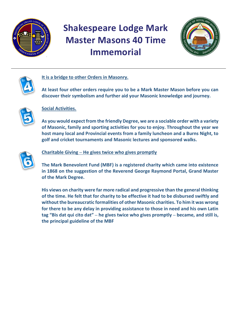





#### **It is a bridge to other Orders in Masonry.**

**At least four other orders require you to be a Mark Master Mason before you can discover their symbolism and further aid your Masonic knowledge and journey.**



#### **Social Activities.**

**As you would expect from the friendly Degree, we are a sociable order with a variety of Masonic, family and sporting activities for you to enjoy. Throughout the year we host many local and Provincial events from a family luncheon and a Burns Night, to golf and cricket tournaments and Masonic lectures and sponsored walks.**



#### **Charitable Giving – He gives twice who gives promptly**

**The Mark Benevolent Fund (MBF) is a registered charity which came into existence in 1868 on the suggestion of the Reverend George Raymond Portal, Grand Master of the Mark Degree.** 

**His views on charity were far more radical and progressive than the general thinking of the time. He felt that for charity to be effective it had to be disbursed swiftly and without the bureaucratic formalities of other Masonic charities. To him it was wrong for there to be any delay in providing assistance to those in need and his own Latin tag "Bis dat qui cito dat" – he gives twice who gives promptly – became, and still is, the principal guideline of the MBF**